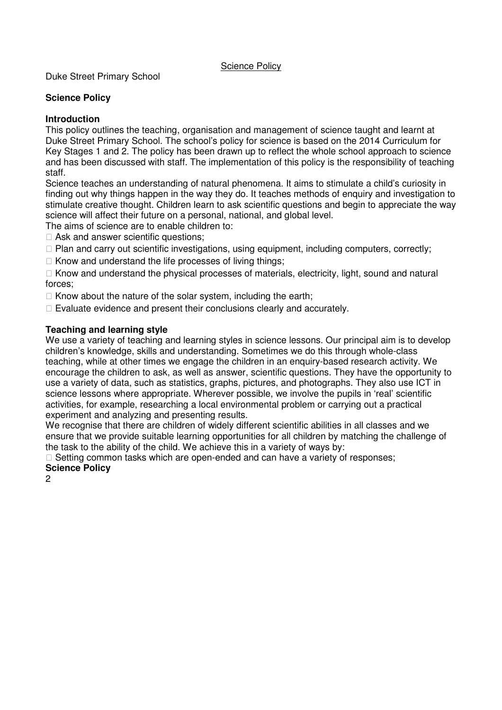Duke Street Primary School

## **Science Policy**

## **Introduction**

This policy outlines the teaching, organisation and management of science taught and learnt at Duke Street Primary School. The school's policy for science is based on the 2014 Curriculum for Key Stages 1 and 2. The policy has been drawn up to reflect the whole school approach to science and has been discussed with staff. The implementation of this policy is the responsibility of teaching staff.

Science teaches an understanding of natural phenomena. It aims to stimulate a child's curiosity in finding out why things happen in the way they do. It teaches methods of enquiry and investigation to stimulate creative thought. Children learn to ask scientific questions and begin to appreciate the way science will affect their future on a personal, national, and global level.

The aims of science are to enable children to:

Ask and answer scientific questions:

Plan and carry out scientific investigations, using equipment, including computers, correctly; Know and understand the life processes of living things;

 Know and understand the physical processes of materials, electricity, light, sound and natural forces;

Know about the nature of the solar system, including the earth;

Evaluate evidence and present their conclusions clearly and accurately.

## **Teaching and learning style**

We use a variety of teaching and learning styles in science lessons. Our principal aim is to develop children's knowledge, skills and understanding. Sometimes we do this through whole-class teaching, while at other times we engage the children in an enquiry-based research activity. We encourage the children to ask, as well as answer, scientific questions. They have the opportunity to use a variety of data, such as statistics, graphs, pictures, and photographs. They also use ICT in science lessons where appropriate. Wherever possible, we involve the pupils in 'real' scientific activities, for example, researching a local environmental problem or carrying out a practical experiment and analyzing and presenting results.

We recognise that there are children of widely different scientific abilities in all classes and we ensure that we provide suitable learning opportunities for all children by matching the challenge of the task to the ability of the child. We achieve this in a variety of ways by:

 Setting common tasks which are open-ended and can have a variety of responses; **Science Policy** 

2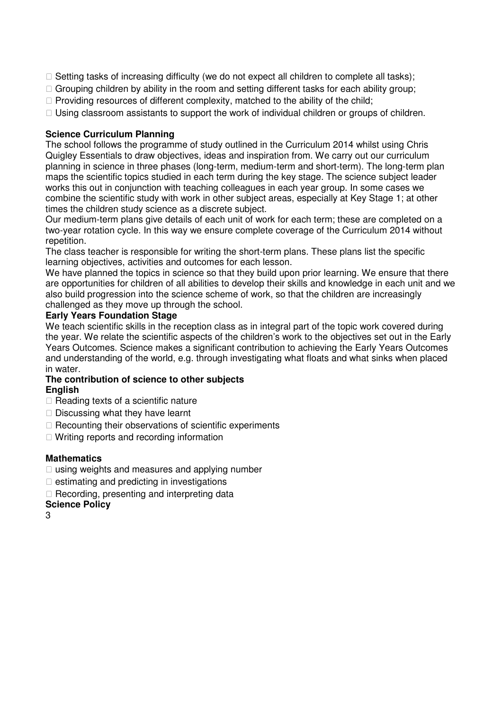Setting tasks of increasing difficulty (we do not expect all children to complete all tasks); Grouping children by ability in the room and setting different tasks for each ability group; Providing resources of different complexity, matched to the ability of the child; Using classroom assistants to support the work of individual children or groups of children.

# **Science Curriculum Planning**

The school follows the programme of study outlined in the Curriculum 2014 whilst using Chris Quigley Essentials to draw objectives, ideas and inspiration from. We carry out our curriculum planning in science in three phases (long-term, medium-term and short-term). The long-term plan maps the scientific topics studied in each term during the key stage. The science subject leader works this out in conjunction with teaching colleagues in each year group. In some cases we combine the scientific study with work in other subject areas, especially at Key Stage 1; at other times the children study science as a discrete subject.

Our medium-term plans give details of each unit of work for each term; these are completed on a two-year rotation cycle. In this way we ensure complete coverage of the Curriculum 2014 without repetition.

The class teacher is responsible for writing the short-term plans. These plans list the specific learning objectives, activities and outcomes for each lesson.

We have planned the topics in science so that they build upon prior learning. We ensure that there are opportunities for children of all abilities to develop their skills and knowledge in each unit and we also build progression into the science scheme of work, so that the children are increasingly challenged as they move up through the school.

## **Early Years Foundation Stage**

We teach scientific skills in the reception class as in integral part of the topic work covered during the year. We relate the scientific aspects of the children's work to the objectives set out in the Early Years Outcomes. Science makes a significant contribution to achieving the Early Years Outcomes and understanding of the world, e.g. through investigating what floats and what sinks when placed in water.

### **The contribution of science to other subjects English**

 Reading texts of a scientific nature Discussing what they have learnt Recounting their observations of scientific experiments Writing reports and recording information

### **Mathematics**

 using weights and measures and applying number estimating and predicting in investigations Recording, presenting and interpreting data

# **Science Policy**

3